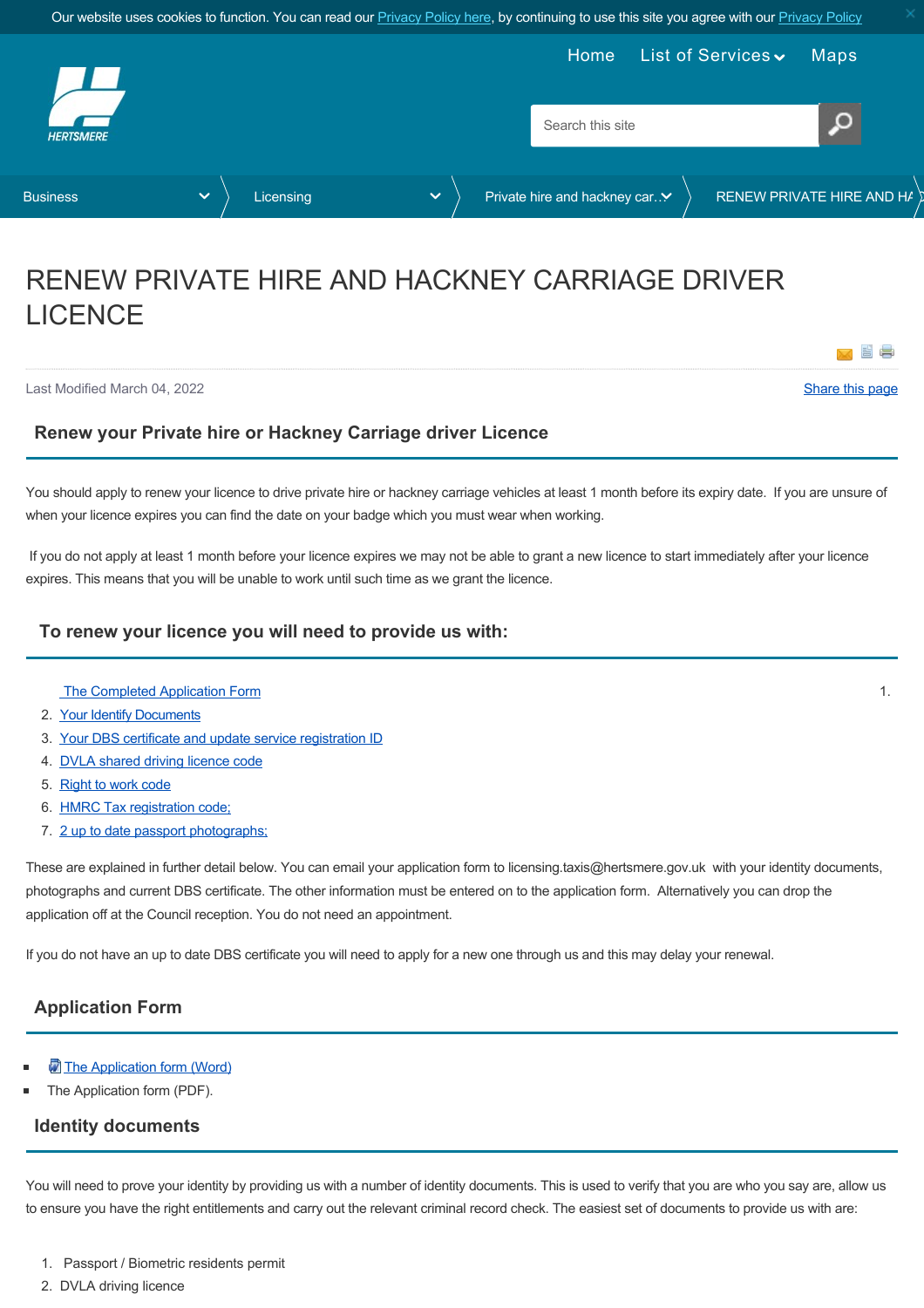<span id="page-0-2"></span>

# RENEW PRIVATE HIRE AND HACKNEY CARRIAGE DRIVER LICENCE

Last Modified March 04, 2022 [Share this page](http://www.addthis.com/bookmark.php?v=250&pubid=xa-502e5fd570edcb1e)

×

## **Renew your Private hire or Hackney Carriage driver Licence**

You should apply to renew your licence to drive private hire or hackney carriage vehicles at least 1 month before its expiry date. If you are unsure of when your licence expires you can find the date on your badge which you must wear when working.

 If you do not apply at least 1 month before your licence expires we may not be able to grant a new licence to start immediately after your licence expires. This means that you will be unable to work until such time as we grant the licence.

## **To renew your licence you will need to provide us with:**

- The Completed Application Form 1. [The Completed Application Form](#page-0-0) 1.
- 2. [Your Identify Documents](#page-0-1)
- 3. [Your DBS certificate and update service registration ID](#page-1-0)
- 4. [DVLA shared driving licence code](#page-1-1)
- 5. [Right to work code](#page-1-2)
- 6. [HMRC Tax registration code;](#page-1-3)
- 7. [2 up to date passport photographs;](#page-1-4)

These are explained in further detail below. You can email your application form to licensing.taxis@hertsmere.gov.uk with your identity documents, photographs and current DBS certificate. The other information must be entered on to the application form. Alternatively you can drop the application off at the Council reception. You do not need an appointment.

If you do not have an up to date DBS certificate you will need to apply for a new one through us and this may delay your renewal.

## <span id="page-0-0"></span>**Application Form**

- [The Application form \(Word\)](https://www.hertsmere.gov.uk/Documents/02-Business/Licensing/Private-hire--Hackney-Carriage-Licensing/driver-final-2022.docx)
- The Application form (PDF).

#### <span id="page-0-1"></span>**Identity documents**

You will need to prove your identity by providing us with a number of identity documents. This is used to verify that you are who you say are, allow us to ensure you have the right entitlements and carry out the relevant criminal record check. The easiest set of documents to provide us with are:

- 1. Passport / Biometric residents permit
- 2. DVLA driving licence